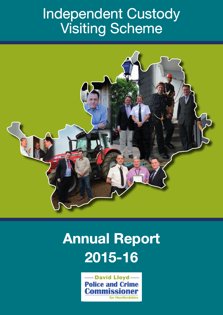#### Independent Custody Custody Visiting Scheme



#### **Annual Report 2015-16**

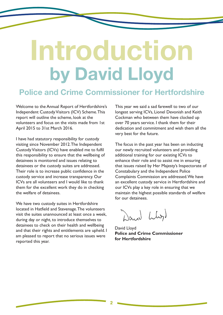### **Introduction by David Lloyd**

#### **Police and Crime Commissioner for Hertfordshire**

Welcome to the Annual Report of Hertfordshire's Independent Custody Visitors (ICV) Scheme. This report will outline the scheme, look at the volunteers and focus on the visits made from 1st April 2015 to 31st March 2016.

I have had statutory responsibility for custody visiting since November 2012.The Independent CustodyVisitors (ICVs) have enabled me to fulfil this responsibility to ensure that the wellbeing of detainees is monitored and issues relating to detainees or the custody suites are addressed. Their role is to increase public confidence in the custody service and increase transparency. Our ICVs are all volunteers and I would like to thank them for the excellent work they do in checking the welfare of detainees.

We have two custody suites in Hertfordshire located in Hatfield and Stevenage.The volunteers visit the suites unannounced at least once a week, during day or night, to introduce themselves to detainees to check on their health and wellbeing and that their rights and entitlements are upheld. I am pleased to report that no serious issues were reported this year.

This year we said a sad farewell to two of our longest serving ICVs, Lionel Devonish and Keith Cockman who between them have clocked up over 70 years service. I thank them for their dedication and commitment and wish them all the very best for the future.

The focus in the past year has been on inducting our newly recruited volunteers and providing additional training for our existing ICVs to enhance their role and to assist me in ensuring that issues raised by Her Majesty's Inspectorate of Constabulary and the Independent Police Complaints Commission are addressed.We have an excellent custody service in Hertfordshire and our ICVs play a key role in ensuring that we maintain the highest possible standards of welfare for our detainees.

Dann Lly

David Lloyd **Police and Crime Commissioner for Hertfordshire**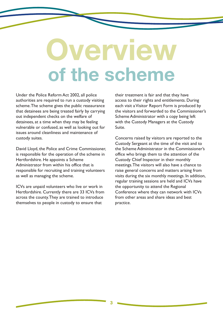### **Overview of the scheme**

Under the Police Reform Act 2002, all police authorities are required to run a custody visiting scheme.The scheme gives the public reassurance that detainees are being treated fairly by carrying out independent checks on the welfare of detainees, at a time when they may be feeling vulnerable or confused, as well as looking out for issues around cleanliness and maintenance of custody suites.

David Lloyd, the Police and Crime Commissioner, is responsible for the operation of the scheme in Hertfordshire. He appoints a Scheme Administrator from within his office that is responsible for recruiting and training volunteers as well as managing the scheme.

ICVs are unpaid volunteers who live or work in Hertfordshire. Currently there are 33 ICVs from across the county.They are trained to introduce themselves to people in custody to ensure that

their treatment is fair and that they have access to their rights and entitlements. During each visit a Visitor Report Form is produced by the visitors and forwarded to the Commissioner's Scheme Administrator with a copy being left with the Custody Managers at the Custody Suite.

Concerns raised by visitors are reported to the Custody Sergeant at the time of the visit and to the Scheme Administrator in the Commissioner's office who brings them to the attention of the Custody Chief Inspector in their monthly meetings.The visitors will also have a chance to raise general concerns and matters arising from visits during the six monthly meetings. In addition, regular training sessions are held and ICVs have the opportunity to attend the Regional Conference where they can network with ICVs from other areas and share ideas and best practice.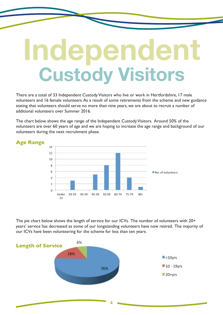## **Independent Custody Visitors**

There are a total of 33 Independent Custody Visitors who live or work in Hertfordshire, 17 male volunteers and 16 female volunteers.As a result of some retirements from the scheme and new guidance stating that volunteers should serve no more than nine years, we are about to recruit a number of additional volunteers over Summer 2016.

The chart below shows the age range of the Independent CustodyVisitors. Around 50% of the volunteers are over 60 years of age and we are hoping to increase the age range and background of our volunteers during the next recruitment phase.



The pie chart below shows the length of service for our ICVs. The number of volunteers with 20+ years' service has decreased as some of our longstanding volunteers have now retired. The majority of our ICVs have been volunteering for the scheme for less than ten years.

**4**

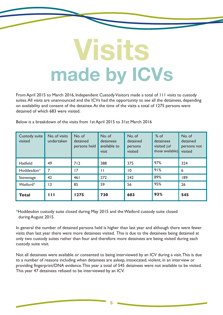### **Visits made by ICVs**

From April 2015 to March 2016, Independent Custody Visitors made a total of 111 visits to custody suites.All visits are unannounced and the ICVs had the opportunity to see all the detainees, depending on availability and consent of the detainee.At the time of the visits a total of 1275 persons were detained of which 683 were visited.

Below is a breakdown of the visits from 1st April 2015 to 31st March 2016

| Custody suite<br>visited | No. of visits<br>undertaken | No. of<br>detained<br>persons held | No. of<br>detainees<br>available to<br>visit | No. of<br>detained<br>persons<br>visited | $%$ of<br>detainees<br>visited (of<br>those available) | No. of<br>detained<br>persons not<br>visited |
|--------------------------|-----------------------------|------------------------------------|----------------------------------------------|------------------------------------------|--------------------------------------------------------|----------------------------------------------|
| <b>Hatfield</b>          | 49                          | 712                                | 388                                          | 375                                      | 97%                                                    | 324                                          |
| Hoddesdon*               | 7                           | 7                                  | П                                            | $\overline{0}$                           | 91%                                                    | 6                                            |
| Stevenage                | 42                          | 461                                | 272                                          | 242                                      | 89%                                                    | 189                                          |
| Watford*                 | $\overline{13}$             | 85                                 | 59                                           | 56                                       | 95%                                                    | 26                                           |
| Total                    | Ш                           | 1275                               | 730                                          | 683                                      | 93%                                                    | 545                                          |

\*Hoddesdon custody suite closed during May 2015 and theWatford custody suite closed during August 2015.

In general the number of detained persons held is higher than last year and although there were fewer visits than last year there were more detainees visited. This is due to the detainees being detained at only two custody suites rather than four and therefore more detainees are being visited during each custody suite visit.

Not all detainees were available or consented to being interviewed by an ICV during a visit.This is due to a number of reasons including when detainees are asleep, intoxicated, violent, in an interview or providing fingerprint/DNA evidence.This year a total of 545 detainees were not available to be visited. This year 47 detainees refused to be interviewed by an ICV.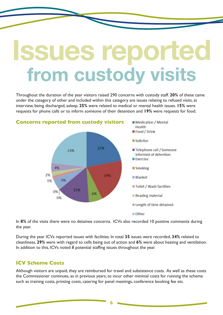#### **Issues reported from custody visits**

Throughout the duration of the year visitors raised 290 concerns with custody staff. **20%** of these came under the category of other and included within this category are issues relating to refused visits, at interview, being discharged, asleep. **25%** were related to medical or mental health issues. **15%** were requests for phone calls or to inform someone of their detention and **19%** were requests for food.



In 8% of the visits there were no detainee concerns. ICVs also recorded 10 positive comments during the year.

During the year ICVs reported issues with facilities. In total **35** issues were recorded, **34%** related to cleanliness, **29%** were with regard to cells being out of action and **6%** were about heating and ventilation. In addition to this, ICVs noted 8 potential staffing issues throughout the year.

#### **ICV Scheme Costs**

Although visitors are unpaid, they are reimbursed for travel and subsistence costs. As well as these costs the Commissioner continues, as in previous years, to incur other minimal costs for running the scheme such as training costs, printing costs, catering for panel meetings, conference booking fee etc.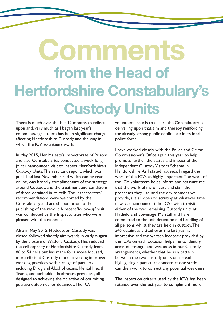#### **Comments from the Head of Hertfordshire Constabulary's Custody Units**

There is much over the last 12 months to reflect upon and, very much as I began last year's comments, again there has been significant change affecting Hertfordshire Custody and the way in which the ICV volunteers work.

In May 2015, Her Majesty's Inspectorate of Prisons and also Constabularies conducted a week-long joint unannounced visit to inspect Hertfordshire's Custody Units.The resultant report, which was published last November and which can be read online, was broadly complimentary of the strategy around Custody, and the treatment and conditions of those detained in its cells.The Inspectorates' recommendations were welcomed by the Constabulary and acted upon prior to the publishing of the report.A recent 'follow-up' visit was conducted by the Inspectorates who were pleased with the response.

Also in May 2015, Hoddesdon Custody was closed, followed shortly afterwards in early August by the closure ofWatford Custody.This reduced the cell capacity of Hertfordshire Custody from 86 to 54 cells but has made for a more focused, more efficient Custody model, involving improved working practices with a range of partners including Drug and Alcohol teams, Mental Health Teams, and embedded healthcare providers, all designed to achieving the objective of optimising positive outcomes for detainees.The ICV

volunteers' role is to ensure the Constabulary is delivering upon that aim and thereby reinforcing the already strong public confidence in its local police force.

I have worked closely with the Police and Crime Commissioner's Office again this year to help promote further the status and impact of the Independent Custody Visitors Scheme in Hertfordshire.As I stated last year, I regard the work of the ICVs as highly important.The work of the ICV volunteers helps inform and reassure me that the work of my officers and staff, the processes they use, and the environment we provide, are all open to scrutiny at whatever time (always unannounced) the ICVs wish to visit either of the two remaining Custody units at Hatfield and Stevenage. My staff and I are committed to the safe detention and handling of all persons whilst they are held in custody.The 545 detainees visited over the last year is impressive and the written feedback provided by the ICVs on each occasion helps me to identify areas of strength and weakness in our Custody arrangements, whether that be as a pattern between the two custody units or instead highlighting a particular concern at one station. I can then work to correct any potential weakness.

The inspection criteria used by the ICVs has been retuned over the last year to compliment more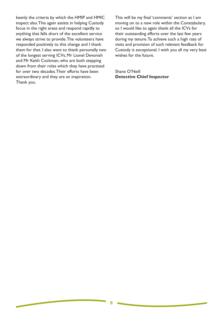keenly the criteria by which the HMIP and HMIC inspect also.This again assists in helping Custody focus in the right areas and respond rapidly to anything that falls short of the excellent service we always strive to provide.The volunteers have responded positively to this change and I thank them for that. I also want to thank personally two of the longest serving ICVs, Mr Lionel Devonish and Mr Keith Cockman, who are both stepping down from their roles which they have practised for over two decades.Their efforts have been extraordinary and they are an inspiration. Thank you.

This will be my final 'comments' section as I am moving on to a new role within the Constabulary, so I would like to again thank all the ICVs for their outstanding efforts over the last few years during my tenure.To achieve such a high rate of visits and provision of such relevant feedback for Custody is exceptional. I wish you all my very best wishes for the future.

Shane O'Neill **Detective Chief Inspector**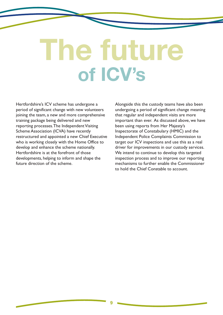## **The future of ICV's**

Hertfordshire's ICV scheme has undergone a period of significant change with new volunteers joining the team, a new and more comprehensive training package being delivered and new reporting processes. The Independent Visiting Scheme Association (ICVA) have recently restructured and appointed a new Chief Executive who is working closely with the Home Office to develop and enhance the scheme nationally. Hertfordshire is at the forefront of those developments, helping to inform and shape the future direction of the scheme.

Alongside this the custody teams have also been undergoing a period of significant change meaning that regular and independent visits are more important than ever. As discussed above, we have been using reports from Her Majesty's Inspectorate of Constabulary (HMIC) and the Independent Police Complaints Commission to target our ICV inspections and use this as a real driver for improvements in our custody services. We intend to continue to develop this targeted inspection process and to improve our reporting mechanisms to further enable the Commissioner to hold the Chief Constable to account.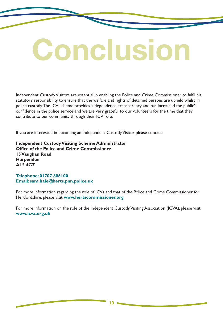# **Conclusion**

Independent Custody Visitors are essential in enabling the Police and Crime Commissioner to fulfil his statutory responsibility to ensure that the welfare and rights of detained persons are upheld whilst in police custody.The ICV scheme provides independence, transparency and has increased the public's confidence in the police service and we are very grateful to our volunteers for the time that they contribute to our community through their ICV role.

If you are interested in becoming an Independent Custody Visitor please contact:

**Independent CustodyVisiting Scheme Administrator Office of the Police and Crime Commissioner 15Vaughan Road Harpenden AL5 4GZ**

**Telephone: 01707 806100 Email: sam.hale@herts.pnn.police.uk**

For more information regarding the role of ICVs and that of the Police and Crime Commissioner for Hertfordshire, please visit **www.hertscommissioner.org**

For more information on the role of the Independent Custody Visiting Association (ICVA), please visit **www.icva.org.uk**